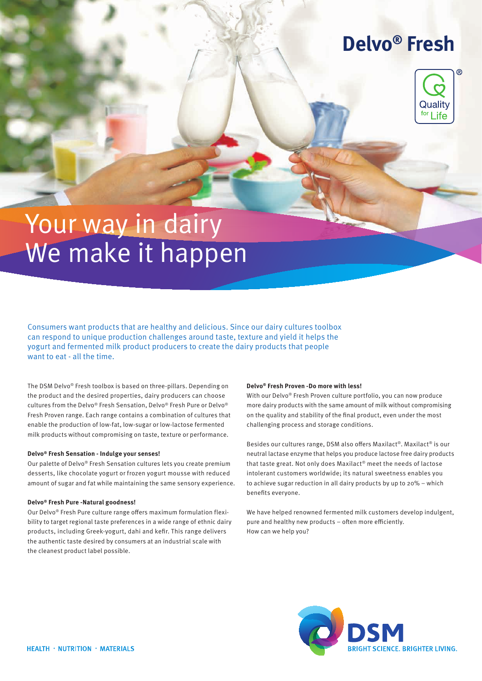## **Delvo® Fresh**



# Your way in dairy We make it happen

Consumers want products that are healthy and delicious. Since our dairy cultures toolbox can respond to unique production challenges around taste, texture and yield it helps the yogurt and fermented milk product producers to create the dairy products that people want to eat - all the time.

The DSM Delvo® Fresh toolbox is based on three-pillars. Depending on the product and the desired properties, dairy producers can choose cultures from the Delvo® Fresh Sensation, Delvo® Fresh Pure or Delvo® Fresh Proven range. Each range contains a combination of cultures that enable the production of low-fat, low-sugar or low-lactose fermented milk products without compromising on taste, texture or performance.

#### **Delvo® Fresh Sensation - Indulge your senses!**

Our palette of Delvo® Fresh Sensation cultures lets you create premium desserts, like chocolate yogurt or frozen yogurt mousse with reduced amount of sugar and fat while maintaining the same sensory experience.

#### **Delvo® Fresh Pure -Natural goodness!**

Our Delvo® Fresh Pure culture range offers maximum formulation flexibility to target regional taste preferences in a wide range of ethnic dairy products, including Greek-yogurt, dahi and kefir. This range delivers the authentic taste desired by consumers at an industrial scale with the cleanest product label possible.

#### **Delvo® Fresh Proven -Do more with less!**

With our Delvo® Fresh Proven culture portfolio, you can now produce more dairy products with the same amount of milk without compromising on the quality and stability of the final product, even under the most challenging process and storage conditions.

Besides our cultures range, DSM also offers Maxilact®. Maxilact® is our neutral lactase enzyme that helps you produce lactose free dairy products that taste great. Not only does Maxilact® meet the needs of lactose intolerant customers worldwide; its natural sweetness enables you to achieve sugar reduction in all dairy products by up to 20% – which benefits everyone.

We have helped renowned fermented milk customers develop indulgent, pure and healthy new products – often more efficiently. How can we help you?